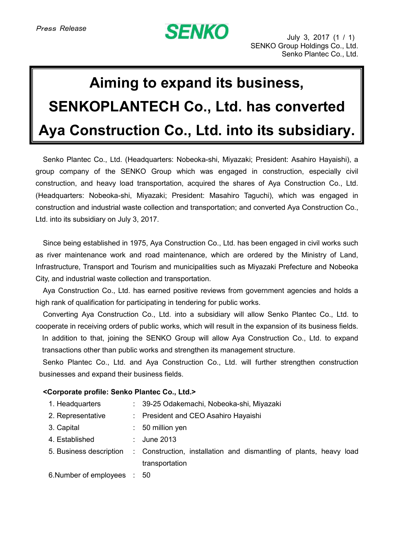## **SENKO**

## **Aiming to expand its business, SENKOPLANTECH Co., Ltd. has converted Aya Construction Co., Ltd. into its subsidiary.**

Senko Plantec Co., Ltd. (Headquarters: Nobeoka-shi, Miyazaki; President: Asahiro Hayaishi), a group company of the SENKO Group which was engaged in construction, especially civil construction, and heavy load transportation, acquired the shares of Aya Construction Co., Ltd. (Headquarters: Nobeoka-shi, Miyazaki; President: Masahiro Taguchi), which was engaged in construction and industrial waste collection and transportation; and converted Aya Construction Co., Ltd. into its subsidiary on July 3, 2017.

Since being established in 1975, Aya Construction Co., Ltd. has been engaged in civil works such as river maintenance work and road maintenance, which are ordered by the Ministry of Land, Infrastructure, Transport and Tourism and municipalities such as Miyazaki Prefecture and Nobeoka City, and industrial waste collection and transportation.

Aya Construction Co., Ltd. has earned positive reviews from government agencies and holds a high rank of qualification for participating in tendering for public works.

Converting Aya Construction Co., Ltd. into a subsidiary will allow Senko Plantec Co., Ltd. to cooperate in receiving orders of public works, which will result in the expansion of its business fields. In addition to that, joining the SENKO Group will allow Aya Construction Co., Ltd. to expand transactions other than public works and strengthen its management structure.

Senko Plantec Co., Ltd. and Aya Construction Co., Ltd. will further strengthen construction businesses and expand their business fields.

## **<Corporate profile: Senko Plantec Co., Ltd.>**

| 1. Headquarters |  |  | 39-25 Odakemachi, Nobeoka-shi, Miyazaki |
|-----------------|--|--|-----------------------------------------|
|-----------------|--|--|-----------------------------------------|

- 2. Representative : President and CEO Asahiro Hayaishi
- 3. Capital : 50 million yen
- 4. Established : June 2013
- 5. Business description : Construction, installation and dismantling of plants, heavy load transportation

6.Number of employees : 50